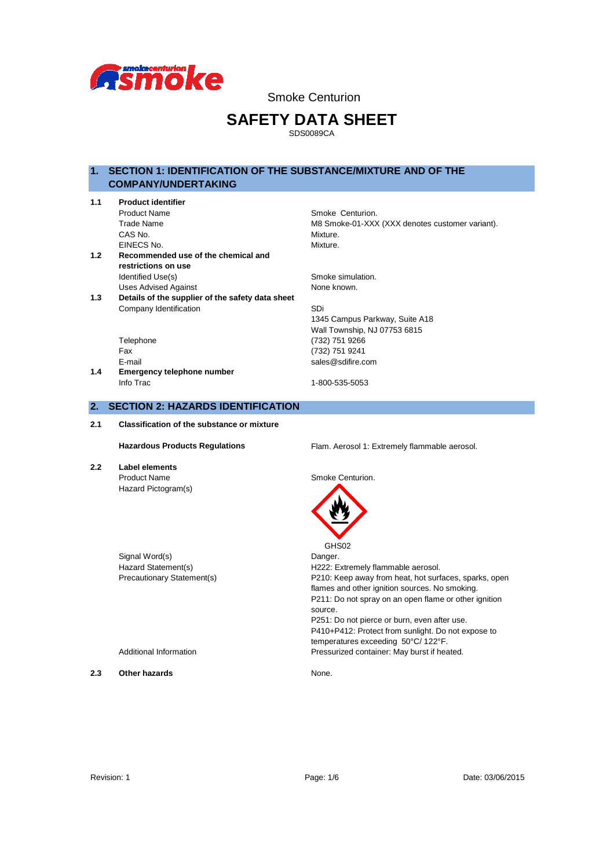

# **SAFETY DATA SHEET**

SDS0089CA

## **1. SECTION 1: IDENTIFICATION OF THE SUBSTANCE/MIXTURE AND OF THE COMPANY/UNDERTAKING**

| 1.1              | <b>Product identifier</b>                        |                                                 |  |  |
|------------------|--------------------------------------------------|-------------------------------------------------|--|--|
|                  | <b>Product Name</b>                              | Smoke Centurion.                                |  |  |
|                  | Trade Name                                       | M8 Smoke-01-XXX (XXX denotes customer variant). |  |  |
|                  | CAS No.                                          | Mixture.                                        |  |  |
|                  | EINECS No.                                       | Mixture.                                        |  |  |
| 1.2 <sub>1</sub> | Recommended use of the chemical and              |                                                 |  |  |
|                  | restrictions on use                              |                                                 |  |  |
|                  | Identified Use(s)                                | Smoke simulation.                               |  |  |
|                  | <b>Uses Advised Against</b>                      | None known.                                     |  |  |
| 1.3              | Details of the supplier of the safety data sheet |                                                 |  |  |
|                  | Company Identification                           | SDi                                             |  |  |
|                  |                                                  | 1345 Campus Parkway, Suite A18                  |  |  |
|                  |                                                  | Wall Township, NJ 07753 6815                    |  |  |
|                  | Telephone                                        | (732) 751 9266                                  |  |  |
|                  | Fax                                              | (732) 751 9241                                  |  |  |
|                  | E-mail                                           | sales@sdifire.com                               |  |  |
| 1.4              | <b>Emergency telephone number</b>                |                                                 |  |  |
|                  | Info Trac                                        | 1-800-535-5053                                  |  |  |
|                  |                                                  |                                                 |  |  |

## **2. SECTION 2: HAZARDS IDENTIFICATION**

**2.1 Classification of the substance or mixture**

**2.2 Label elements** Product Name Smoke Centurion. Hazard Pictogram(s)

Signal Word(s) Danger.

Hazardous Products Regulations **Flam. Aerosol 1: Extremely flammable aerosol.** 



 GHS02 Hazard Statement(s) The H222: Extremely flammable aerosol. Precautionary Statement(s) P210: Keep away from heat, hot surfaces, sparks, open flames and other ignition sources. No smoking. P211: Do not spray on an open flame or other ignition source. P251: Do not pierce or burn, even after use. P410+P412: Protect from sunlight. Do not expose to temperatures exceeding 50°C/ 122°F. Additional Information **Pressurized container:** May burst if heated.

**2.3 Other hazards None.**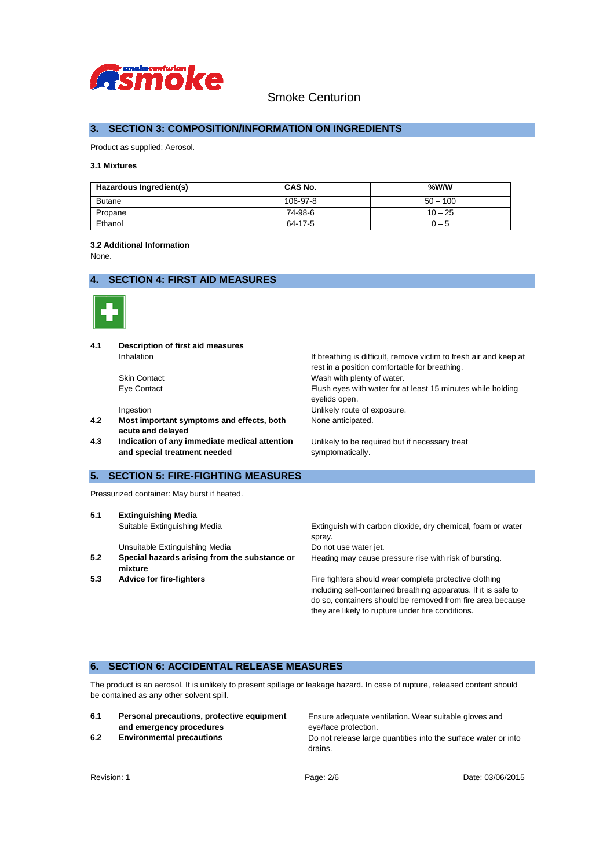

## **3. SECTION 3: COMPOSITION/INFORMATION ON INGREDIENTS**

Product as supplied: Aerosol.

### **3.1 Mixtures**

| Hazardous Ingredient(s) | CAS No.  | $%$ W/W    |
|-------------------------|----------|------------|
| <b>Butane</b>           | 106-97-8 | $50 - 100$ |
| Propane                 | 74-98-6  | $10 - 25$  |
| Ethanol                 | 64-17-5  | 0 – 5      |

#### **3.2 Additional Information**

None.

## **4. SECTION 4: FIRST AID MEASURES**



**4.1 Description of first aid measures** Inhalation Inhalation Internal Information If breathing is difficult, remove victim to fresh air and keep at

- **4.2 Most important symptoms and effects, both acute and delayed**
- **4.3 Indication of any immediate medical attention and special treatment needed**

## **5. SECTION 5: FIRE-FIGHTING MEASURES**

Pressurized container: May burst if heated.

**5.1 Extinguishing Media**

Unsuitable Extinguishing Media Do not use water jet.

**5.2 Special hazards arising from the substance or mixture** 

rest in a position comfortable for breathing. Skin Contact Wash with plenty of water. Eye Contact Flush eyes with water for at least 15 minutes while holding eyelids open. Ingestion **Intervention** Unlikely route of exposure. None anticipated.

> Unlikely to be required but if necessary treat symptomatically.

Suitable Extinguishing Media Extinguish with carbon dioxide, dry chemical, foam or water spray. Heating may cause pressure rise with risk of bursting.

**5.3 Advice for fire-fighters Fire fighters** Fire fighters should wear complete protective clothing including self-contained breathing apparatus. If it is safe to do so, containers should be removed from fire area because they are likely to rupture under fire conditions.

## **6. SECTION 6: ACCIDENTAL RELEASE MEASURES**

The product is an aerosol. It is unlikely to present spillage or leakage hazard. In case of rupture, released content should be contained as any other solvent spill.

| 6.1 | Personal precautions, protective equipment |  |  |
|-----|--------------------------------------------|--|--|
|     | and emergency procedures                   |  |  |
| . . |                                            |  |  |

Ensure adequate ventilation. Wear suitable gloves and eye/face protection. **6.2 Environmental precautions Do not release large quantities into the surface water or into** drains.

Revision: 1 Page: 2/6 Page: 2/6 Page: 2008/2015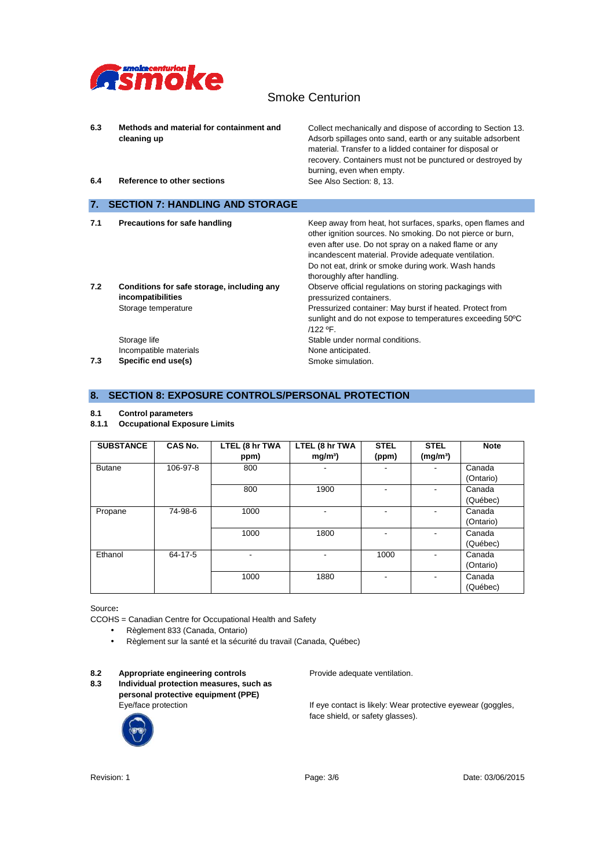

| 6.3<br>6.4 | Methods and material for containment and<br>cleaning up<br>Reference to other sections | Collect mechanically and dispose of according to Section 13.<br>Adsorb spillages onto sand, earth or any suitable adsorbent<br>material. Transfer to a lidded container for disposal or<br>recovery. Containers must not be punctured or destroyed by<br>burning, even when empty.<br>See Also Section: 8, 13.               |
|------------|----------------------------------------------------------------------------------------|------------------------------------------------------------------------------------------------------------------------------------------------------------------------------------------------------------------------------------------------------------------------------------------------------------------------------|
| 7.         | <b>SECTION 7: HANDLING AND STORAGE</b>                                                 |                                                                                                                                                                                                                                                                                                                              |
| 7.1        | <b>Precautions for safe handling</b>                                                   | Keep away from heat, hot surfaces, sparks, open flames and<br>other ignition sources. No smoking. Do not pierce or burn,<br>even after use. Do not spray on a naked flame or any<br>incandescent material. Provide adequate ventilation.<br>Do not eat, drink or smoke during work. Wash hands<br>thoroughly after handling. |
| 7.2        | Conditions for safe storage, including any<br>incompatibilities<br>Storage temperature | Observe official regulations on storing packagings with<br>pressurized containers.<br>Pressurized container: May burst if heated. Protect from<br>sunlight and do not expose to temperatures exceeding 50°C<br>/122 °F.                                                                                                      |
| 7.3        | Storage life<br>Incompatible materials<br>Specific end use(s)                          | Stable under normal conditions.<br>None anticipated.<br>Smoke simulation.                                                                                                                                                                                                                                                    |

## **8. SECTION 8: EXPOSURE CONTROLS/PERSONAL PROTECTION**

#### **8.1 Control parameters**

**8.1.1 Occupational Exposure Limits**

| <b>SUBSTANCE</b> | CAS No.  | LTEL (8 hr TWA<br>ppm) | LTEL (8 hr TWA<br>mg/m <sup>3</sup> | <b>STEL</b><br>(ppm)     | <b>STEL</b><br>(mg/m <sup>3</sup> ) | <b>Note</b>         |
|------------------|----------|------------------------|-------------------------------------|--------------------------|-------------------------------------|---------------------|
| <b>Butane</b>    | 106-97-8 | 800                    | -                                   | $\overline{\phantom{a}}$ |                                     | Canada<br>(Ontario) |
|                  |          | 800                    | 1900                                |                          |                                     | Canada<br>(Québec)  |
| Propane          | 74-98-6  | 1000                   |                                     |                          |                                     | Canada<br>(Ontario) |
|                  |          | 1000                   | 1800                                |                          |                                     | Canada<br>(Québec)  |
| Ethanol          | 64-17-5  |                        | $\overline{\phantom{0}}$            | 1000                     |                                     | Canada<br>(Ontario) |
|                  |          | 1000                   | 1880                                |                          |                                     | Canada<br>(Québec)  |

Source**:** 

- CCOHS = Canadian Centre for Occupational Health and Safety
	- Règlement 833 (Canada, Ontario)
	- Règlement sur la santé et la sécurité du travail (Canada, Québec)

8.2 **Appropriate engineering controls** Provide adequate ventilation.<br>**8.3** Individual protection measures, such as **8.3 Individual protection measures, such as personal protective equipment (PPE)** 



Eye/face protection Text Contact is likely: Wear protective eyewear (goggles, face shield, or safety glasses).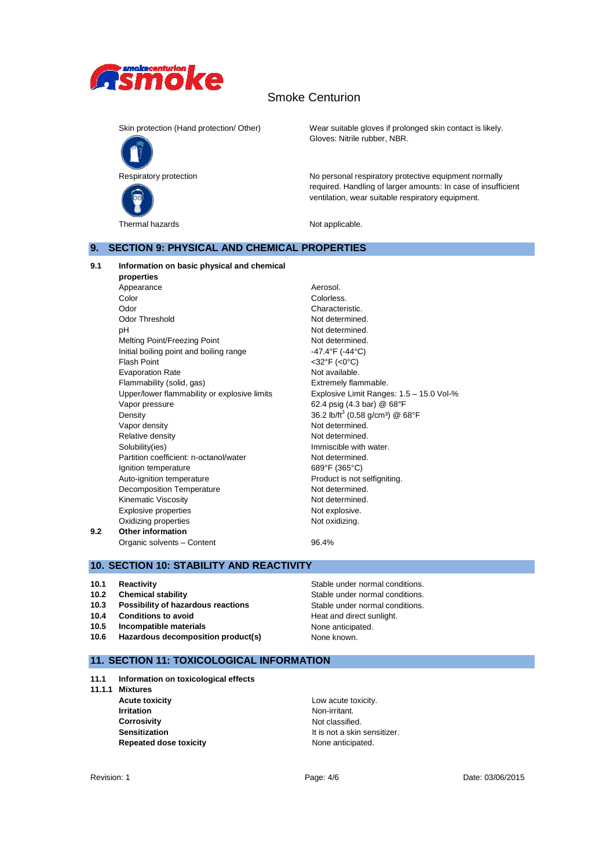



Skin protection (Hand protection/ Other) Wear suitable gloves if prolonged skin contact is likely. Gloves: Nitrile rubber, NBR.

Respiratory protection Note and No personal respiratory protective equipment normally required. Handling of larger amounts: In case of insufficient ventilation, wear suitable respiratory equipment.

Thermal hazards **Not applicable**.

## **9. SECTION 9: PHYSICAL AND CHEMICAL PROPERTIES**

## **9.1 Information on basic physical and chemical**

**properties**  Appearance **Aerosol.** Color Color Colorless. Odor Characteristic. Odor Threshold Not determined. pH Not determined. Melting Point/Freezing Point Not determined. Initial boiling point and boiling range  $-47.4^{\circ}F$  (-44 $^{\circ}C$ ) Flash Point <32°F (<0°C) Evaporation Rate Not available. Flammability (solid, gas) Extremely flammable. Upper/lower flammability or explosive limits Explosive Limit Ranges: 1.5 – 15.0 Vol-% Vapor pressure 62.4 psig (4.3 bar) @ 68°F Density  $36.2 \text{ lb/ft}^3 (0.58 \text{ g/cm}^3) @68^\circ \text{F}$ Vapor density Not determined. Relative density **Not determined.** Solubility(ies) **Immiscible with water.** Partition coefficient: n-octanol/water Not determined. Ignition temperature 689°F (365°C) Auto-ignition temperature **Auto-ignition** temperature **Product** is not selfigniting. Decomposition Temperature Not determined. Kinematic Viscosity **Not determined.** Explosive properties Not explosive. Oxidizing properties Not oxidizing. **9.2 Other information** Organic solvents – Content 196.4%

## **10. SECTION 10: STABILITY AND REACTIVITY**

- **10.1 Reactivity Reactivity Reactivity Reactivity Reactivity Reactivity Stable under normal conditions.**
- **10.2 Chemical stability** Stable under normal conditions.
- **10.3 Possibility of hazardous reactions** Stable under normal conditions.
- **10.4 Conditions to avoid Heat and direct sunlight.**
- **10.5 Incompatible materials** None anticipated.
- **10.6 Hazardous decomposition product(s)** None known.

## **11. SECTION 11: TOXICOLOGICAL INFORMATION**

- **11.1 Information on toxicological effects**
- **11.1.1 Mixtures**
	- **Acute toxicity** Low acute toxicity. **Irritation** Non-irritant. **Corrosivity Corrosivity Note Sensitization It is not a skin sensitizer. Repeated dose toxicity None anticipated.**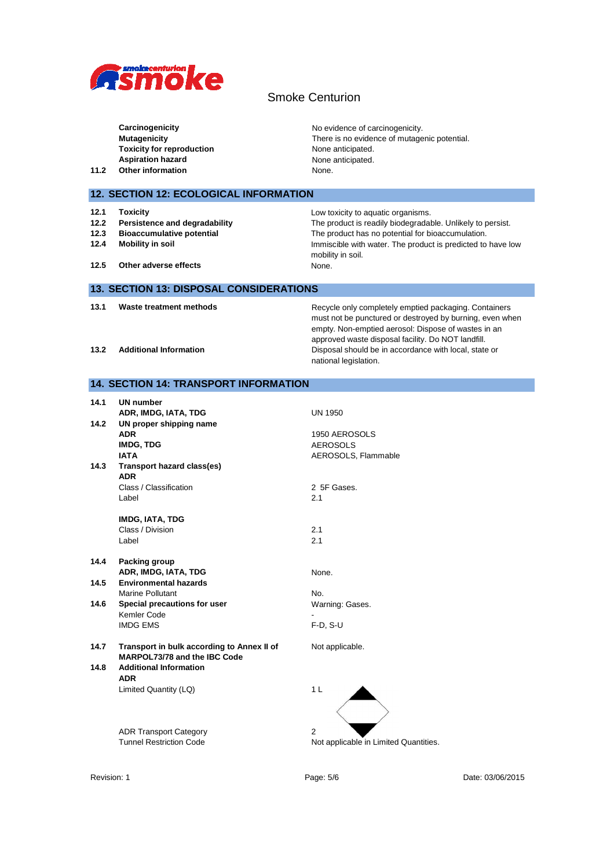

| 11.2                                 | Carcinogenicity<br><b>Mutagenicity</b><br><b>Toxicity for reproduction</b><br><b>Aspiration hazard</b><br>Other information       | No evidence of carcinogenicity.<br>There is no evidence of mutagenic potential.<br>None anticipated.<br>None anticipated.<br>None.                                                                                                                                                                               |
|--------------------------------------|-----------------------------------------------------------------------------------------------------------------------------------|------------------------------------------------------------------------------------------------------------------------------------------------------------------------------------------------------------------------------------------------------------------------------------------------------------------|
|                                      | 12. SECTION 12: ECOLOGICAL INFORMATION                                                                                            |                                                                                                                                                                                                                                                                                                                  |
| 12.1<br>12.2<br>12.3<br>12.4<br>12.5 | <b>Toxicity</b><br>Persistence and degradability<br><b>Bioaccumulative potential</b><br>Mobility in soil<br>Other adverse effects | Low toxicity to aquatic organisms.<br>The product is readily biodegradable. Unlikely to persist.<br>The product has no potential for bioaccumulation.<br>Immiscible with water. The product is predicted to have low<br>mobility in soil.<br>None.                                                               |
|                                      | 13. SECTION 13: DISPOSAL CONSIDERATIONS                                                                                           |                                                                                                                                                                                                                                                                                                                  |
| 13.1<br>13.2                         | Waste treatment methods<br><b>Additional Information</b>                                                                          | Recycle only completely emptied packaging. Containers<br>must not be punctured or destroyed by burning, even when<br>empty. Non-emptied aerosol: Dispose of wastes in an<br>approved waste disposal facility. Do NOT landfill.<br>Disposal should be in accordance with local, state or<br>national legislation. |
|                                      | 14. SECTION 14: TRANSPORT INFORMATION                                                                                             |                                                                                                                                                                                                                                                                                                                  |
| 14.1                                 | <b>UN number</b><br>ADR IMDG IATA TDG                                                                                             | UN 1950                                                                                                                                                                                                                                                                                                          |

|      | ADR, IMDG, IATA, TDG                                                       | <b>UN 1950</b>                        |
|------|----------------------------------------------------------------------------|---------------------------------------|
| 14.2 | UN proper shipping name                                                    |                                       |
|      | <b>ADR</b>                                                                 | 1950 AEROSOLS                         |
|      | <b>IMDG, TDG</b>                                                           | <b>AEROSOLS</b>                       |
|      | <b>IATA</b>                                                                | AEROSOLS, Flammable                   |
| 14.3 | Transport hazard class(es)<br><b>ADR</b>                                   |                                       |
|      | Class / Classification                                                     | 2 5F Gases.                           |
|      | Label                                                                      | 2.1                                   |
|      | <b>IMDG, IATA, TDG</b>                                                     |                                       |
|      | Class / Division                                                           | 2.1                                   |
|      | Label                                                                      | 2.1                                   |
| 14.4 | Packing group                                                              |                                       |
|      | ADR, IMDG, IATA, TDG                                                       | None.                                 |
| 14.5 | <b>Environmental hazards</b>                                               |                                       |
|      | <b>Marine Pollutant</b>                                                    | No.                                   |
| 14.6 | Special precautions for user                                               | Warning: Gases.                       |
|      | Kemler Code                                                                |                                       |
|      | <b>IMDG EMS</b>                                                            | $F-D, S-U$                            |
| 14.7 | Transport in bulk according to Annex II of<br>MARPOL73/78 and the IBC Code | Not applicable.                       |
| 14.8 | <b>Additional Information</b><br><b>ADR</b>                                |                                       |
|      | Limited Quantity (LQ)                                                      | 1 <sub>L</sub>                        |
|      | <b>ADR Transport Category</b>                                              | $\overline{2}$                        |
|      | <b>Tunnel Restriction Code</b>                                             | Not applicable in Limited Quantities. |